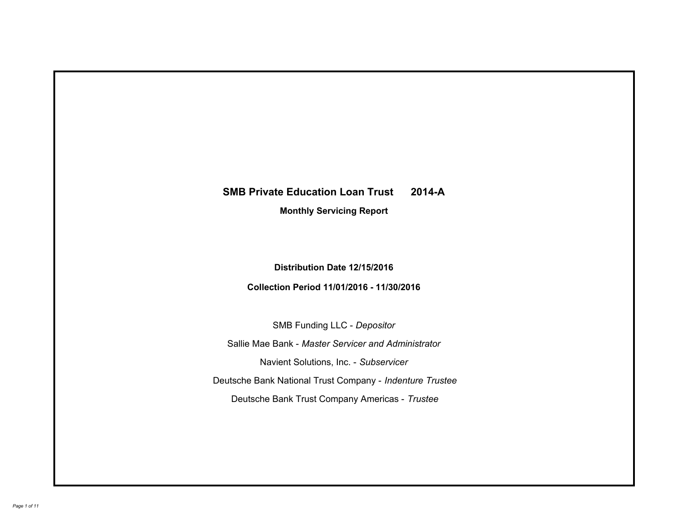# **SMB Private Education Loan Trust 2014-A Monthly Servicing Report**

## **Distribution Date 12/15/2016**

# **Collection Period 11/01/2016 - 11/30/2016**

SMB Funding LLC - *Depositor*

Sallie Mae Bank - *Master Servicer and Administrator*

Navient Solutions, Inc. - *Subservicer*

Deutsche Bank National Trust Company - *Indenture Trustee*

Deutsche Bank Trust Company Americas - *Trustee*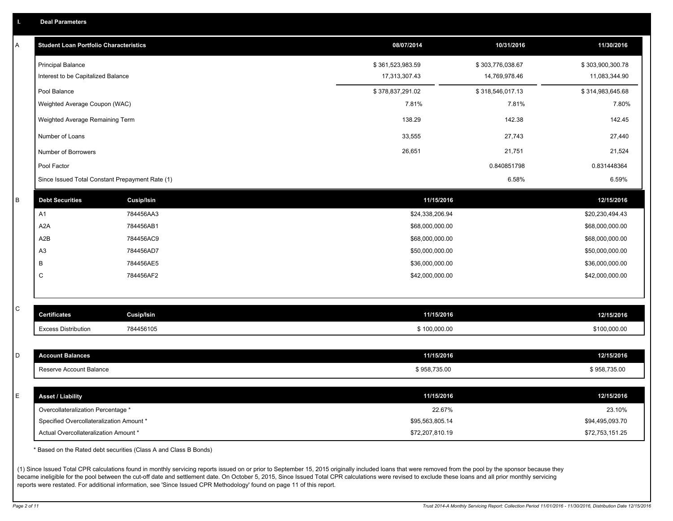|  | <b>Deal Parameters</b> |  |
|--|------------------------|--|
|  |                        |  |

| Α            | <b>Student Loan Portfolio Characteristics</b>   | 08/07/2014       | 10/31/2016       | 11/30/2016       |
|--------------|-------------------------------------------------|------------------|------------------|------------------|
|              | <b>Principal Balance</b>                        | \$361,523,983.59 | \$303,776,038.67 | \$303,900,300.78 |
|              | Interest to be Capitalized Balance              | 17,313,307.43    | 14,769,978.46    | 11,083,344.90    |
|              | Pool Balance                                    | \$378,837,291.02 | \$318,546,017.13 | \$314,983,645.68 |
|              | Weighted Average Coupon (WAC)                   | 7.81%            | 7.81%            | 7.80%            |
|              | Weighted Average Remaining Term                 | 138.29           | 142.38           | 142.45           |
|              | Number of Loans                                 | 33,555           | 27,743           | 27,440           |
|              | Number of Borrowers                             | 26,651           | 21,751           | 21,524           |
|              | Pool Factor                                     |                  | 0.840851798      | 0.831448364      |
|              | Since Issued Total Constant Prepayment Rate (1) |                  | 6.58%            | 6.59%            |
| В            | <b>Debt Securities</b><br><b>Cusip/Isin</b>     | 11/15/2016       |                  | 12/15/2016       |
|              | A1<br>784456AA3                                 | \$24,338,206.94  |                  | \$20,230,494.43  |
|              | A <sub>2</sub> A<br>784456AB1                   | \$68,000,000.00  |                  | \$68,000,000.00  |
|              | A2B<br>784456AC9                                | \$68,000,000.00  |                  | \$68,000,000.00  |
|              | A <sub>3</sub><br>784456AD7                     | \$50,000,000.00  |                  | \$50,000,000.00  |
|              | 784456AE5<br>В                                  | \$36,000,000.00  |                  | \$36,000,000.00  |
|              | C<br>784456AF2                                  | \$42,000,000.00  |                  | \$42,000,000.00  |
|              |                                                 |                  |                  |                  |
| $\mathsf{C}$ | <b>Cusip/Isin</b><br><b>Certificates</b>        | 11/15/2016       |                  | 12/15/2016       |
|              | <b>Excess Distribution</b><br>784456105         | \$100,000.00     |                  | \$100,000.00     |
|              |                                                 |                  |                  |                  |
| D            | <b>Account Balances</b>                         | 11/15/2016       |                  | 12/15/2016       |
|              | Reserve Account Balance                         | \$958,735.00     |                  | \$958,735.00     |
|              |                                                 |                  |                  |                  |
| Ε            | <b>Asset / Liability</b>                        | 11/15/2016       |                  | 12/15/2016       |
|              | Overcollateralization Percentage *              |                  | 22.67%           | 23.10%           |
|              | Specified Overcollateralization Amount *        | \$95,563,805.14  |                  | \$94,495,093.70  |
|              | Actual Overcollateralization Amount *           | \$72,207,810.19  |                  | \$72,753,151.25  |

\* Based on the Rated debt securities (Class A and Class B Bonds)

(1) Since Issued Total CPR calculations found in monthly servicing reports issued on or prior to September 15, 2015 originally included loans that were removed from the pool by the sponsor because they became ineligible for the pool between the cut-off date and settlement date. On October 5, 2015, Since Issued Total CPR calculations were revised to exclude these loans and all prior monthly servicing reports were restated. For additional information, see 'Since Issued CPR Methodology' found on page 11 of this report.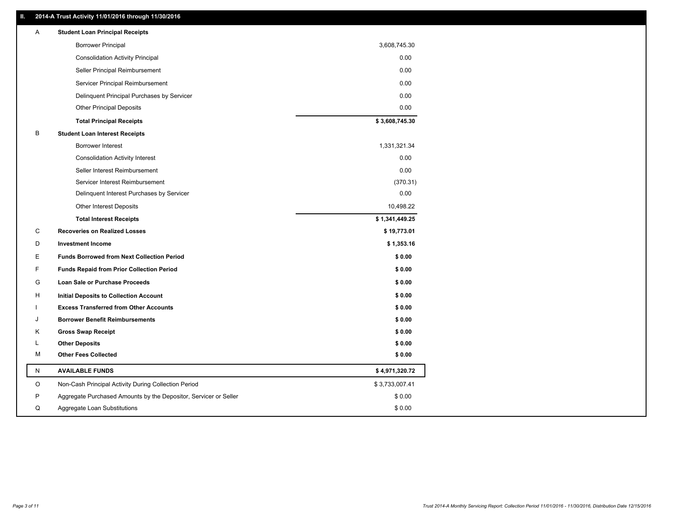### **II. 2014-A Trust Activity 11/01/2016 through 11/30/2016**

| Α | <b>Student Loan Principal Receipts</b>                           |                |  |
|---|------------------------------------------------------------------|----------------|--|
|   | <b>Borrower Principal</b>                                        | 3,608,745.30   |  |
|   | <b>Consolidation Activity Principal</b>                          | 0.00           |  |
|   | Seller Principal Reimbursement                                   | 0.00           |  |
|   | Servicer Principal Reimbursement                                 | 0.00           |  |
|   | Delinquent Principal Purchases by Servicer                       | 0.00           |  |
|   | <b>Other Principal Deposits</b>                                  | 0.00           |  |
|   | <b>Total Principal Receipts</b>                                  | \$3,608,745.30 |  |
| В | <b>Student Loan Interest Receipts</b>                            |                |  |
|   | <b>Borrower Interest</b>                                         | 1,331,321.34   |  |
|   | <b>Consolidation Activity Interest</b>                           | 0.00           |  |
|   | Seller Interest Reimbursement                                    | 0.00           |  |
|   | Servicer Interest Reimbursement                                  | (370.31)       |  |
|   | Delinquent Interest Purchases by Servicer                        | 0.00           |  |
|   | Other Interest Deposits                                          | 10,498.22      |  |
|   | <b>Total Interest Receipts</b>                                   | \$1,341,449.25 |  |
| C | <b>Recoveries on Realized Losses</b>                             | \$19,773.01    |  |
| D | <b>Investment Income</b>                                         | \$1,353.16     |  |
| Е | <b>Funds Borrowed from Next Collection Period</b>                | \$0.00         |  |
| F | <b>Funds Repaid from Prior Collection Period</b>                 | \$0.00         |  |
| G | Loan Sale or Purchase Proceeds                                   | \$0.00         |  |
| н | <b>Initial Deposits to Collection Account</b>                    | \$0.00         |  |
|   | <b>Excess Transferred from Other Accounts</b>                    | \$0.00         |  |
| J | <b>Borrower Benefit Reimbursements</b>                           | \$0.00         |  |
| Κ | <b>Gross Swap Receipt</b>                                        | \$0.00         |  |
| L | <b>Other Deposits</b>                                            | \$0.00         |  |
| м | <b>Other Fees Collected</b>                                      | \$0.00         |  |
| N | <b>AVAILABLE FUNDS</b>                                           | \$4,971,320.72 |  |
| O | Non-Cash Principal Activity During Collection Period             | \$3,733,007.41 |  |
| P | Aggregate Purchased Amounts by the Depositor, Servicer or Seller | \$0.00         |  |
| Q | Aggregate Loan Substitutions                                     | \$0.00         |  |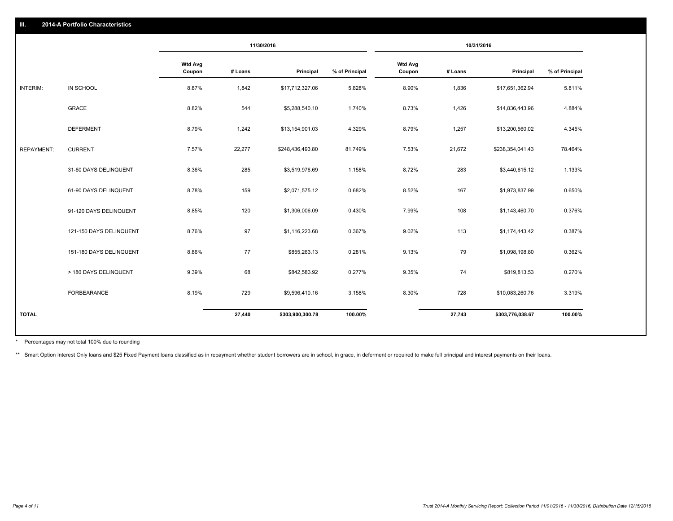|                   |                         |                          | 11/30/2016 |                  | 10/31/2016     |                          |         |                  |                |
|-------------------|-------------------------|--------------------------|------------|------------------|----------------|--------------------------|---------|------------------|----------------|
|                   |                         | <b>Wtd Avg</b><br>Coupon | # Loans    | Principal        | % of Principal | <b>Wtd Avg</b><br>Coupon | # Loans | Principal        | % of Principal |
| INTERIM:          | IN SCHOOL               | 8.87%                    | 1,842      | \$17,712,327.06  | 5.828%         | 8.90%                    | 1,836   | \$17,651,362.94  | 5.811%         |
|                   | GRACE                   | 8.82%                    | 544        | \$5,288,540.10   | 1.740%         | 8.73%                    | 1,426   | \$14,836,443.96  | 4.884%         |
|                   | <b>DEFERMENT</b>        | 8.79%                    | 1,242      | \$13,154,901.03  | 4.329%         | 8.79%                    | 1,257   | \$13,200,560.02  | 4.345%         |
| <b>REPAYMENT:</b> | <b>CURRENT</b>          | 7.57%                    | 22,277     | \$248,436,493.80 | 81.749%        | 7.53%                    | 21,672  | \$238,354,041.43 | 78.464%        |
|                   | 31-60 DAYS DELINQUENT   | 8.36%                    | 285        | \$3,519,976.69   | 1.158%         | 8.72%                    | 283     | \$3,440,615.12   | 1.133%         |
|                   | 61-90 DAYS DELINQUENT   | 8.78%                    | 159        | \$2,071,575.12   | 0.682%         | 8.52%                    | 167     | \$1,973,837.99   | 0.650%         |
|                   | 91-120 DAYS DELINQUENT  | 8.85%                    | 120        | \$1,306,006.09   | 0.430%         | 7.99%                    | 108     | \$1,143,460.70   | 0.376%         |
|                   | 121-150 DAYS DELINQUENT | 8.76%                    | 97         | \$1,116,223.68   | 0.367%         | 9.02%                    | 113     | \$1,174,443.42   | 0.387%         |
|                   | 151-180 DAYS DELINQUENT | 8.86%                    | 77         | \$855,263.13     | 0.281%         | 9.13%                    | 79      | \$1,098,198.80   | 0.362%         |
|                   | > 180 DAYS DELINQUENT   | 9.39%                    | 68         | \$842,583.92     | 0.277%         | 9.35%                    | 74      | \$819,813.53     | 0.270%         |
|                   | FORBEARANCE             | 8.19%                    | 729        | \$9,596,410.16   | 3.158%         | 8.30%                    | 728     | \$10,083,260.76  | 3.319%         |
| <b>TOTAL</b>      |                         |                          | 27,440     | \$303,900,300.78 | 100.00%        |                          | 27,743  | \$303,776,038.67 | 100.00%        |

Percentages may not total 100% due to rounding \*

\*\* Smart Option Interest Only loans and \$25 Fixed Payment loans classified as in repayment whether student borrowers are in school, in grace, in deferment or required to make full principal and interest payments on their l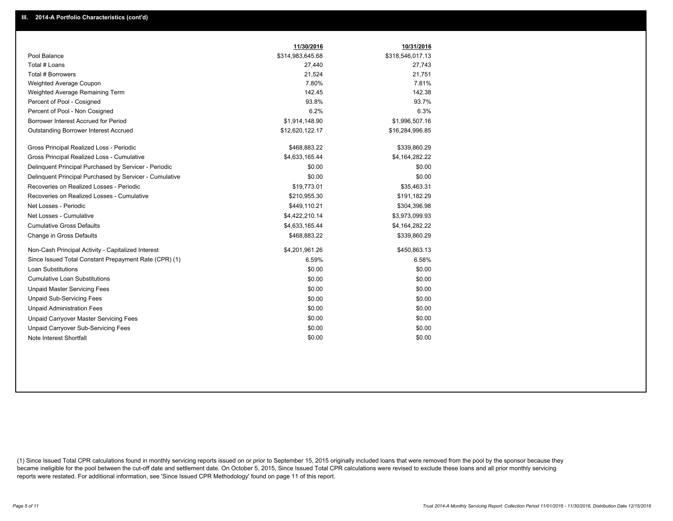|                                                         | 11/30/2016       | 10/31/2016       |
|---------------------------------------------------------|------------------|------------------|
| Pool Balance                                            | \$314,983,645.68 | \$318,546,017.13 |
| Total # Loans                                           | 27,440           | 27,743           |
| Total # Borrowers                                       | 21,524           | 21,751           |
| Weighted Average Coupon                                 | 7.80%            | 7.81%            |
| Weighted Average Remaining Term                         | 142.45           | 142.38           |
| Percent of Pool - Cosigned                              | 93.8%            | 93.7%            |
| Percent of Pool - Non Cosigned                          | 6.2%             | 6.3%             |
| Borrower Interest Accrued for Period                    | \$1,914,148.90   | \$1,996,507.16   |
| Outstanding Borrower Interest Accrued                   | \$12,620,122.17  | \$16,284,996.85  |
| Gross Principal Realized Loss - Periodic                | \$468,883.22     | \$339,860.29     |
| Gross Principal Realized Loss - Cumulative              | \$4,633,165.44   | \$4,164,282.22   |
| Delinquent Principal Purchased by Servicer - Periodic   | \$0.00           | \$0.00           |
| Delinquent Principal Purchased by Servicer - Cumulative | \$0.00           | \$0.00           |
| Recoveries on Realized Losses - Periodic                | \$19,773.01      | \$35,463.31      |
| Recoveries on Realized Losses - Cumulative              | \$210,955.30     | \$191,182.29     |
| Net Losses - Periodic                                   | \$449,110.21     | \$304,396.98     |
| Net Losses - Cumulative                                 | \$4,422,210.14   | \$3,973,099.93   |
| <b>Cumulative Gross Defaults</b>                        | \$4,633,165.44   | \$4,164,282.22   |
| Change in Gross Defaults                                | \$468,883.22     | \$339,860.29     |
| Non-Cash Principal Activity - Capitalized Interest      | \$4,201,961.26   | \$450,863.13     |
| Since Issued Total Constant Prepayment Rate (CPR) (1)   | 6.59%            | 6.58%            |
| <b>Loan Substitutions</b>                               | \$0.00           | \$0.00           |
| <b>Cumulative Loan Substitutions</b>                    | \$0.00           | \$0.00           |
| <b>Unpaid Master Servicing Fees</b>                     | \$0.00           | \$0.00           |
| <b>Unpaid Sub-Servicing Fees</b>                        | \$0.00           | \$0.00           |
| <b>Unpaid Administration Fees</b>                       | \$0.00           | \$0.00           |
| Unpaid Carryover Master Servicing Fees                  | \$0.00           | \$0.00           |
| <b>Unpaid Carryover Sub-Servicing Fees</b>              | \$0.00           | \$0.00           |
| Note Interest Shortfall                                 | \$0.00           | \$0.00           |

(1) Since Issued Total CPR calculations found in monthly servicing reports issued on or prior to September 15, 2015 originally included loans that were removed from the pool by the sponsor because they became ineligible for the pool between the cut-off date and settlement date. On October 5, 2015, Since Issued Total CPR calculations were revised to exclude these loans and all prior monthly servicing reports were restated. For additional information, see 'Since Issued CPR Methodology' found on page 11 of this report.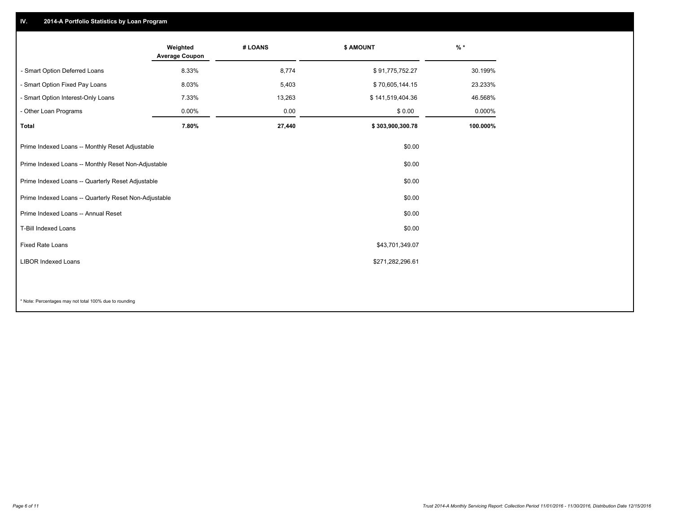## **IV. 2014-A Portfolio Statistics by Loan Program**

|                                                       | Weighted<br><b>Average Coupon</b> | # LOANS | <b>\$ AMOUNT</b> | $%$ *    |
|-------------------------------------------------------|-----------------------------------|---------|------------------|----------|
| - Smart Option Deferred Loans                         | 8.33%                             | 8,774   | \$91,775,752.27  | 30.199%  |
| - Smart Option Fixed Pay Loans                        | 8.03%                             | 5,403   | \$70,605,144.15  | 23.233%  |
| - Smart Option Interest-Only Loans                    | 7.33%                             | 13,263  | \$141,519,404.36 | 46.568%  |
| - Other Loan Programs                                 | $0.00\%$                          | 0.00    | \$0.00           | 0.000%   |
| Total                                                 | 7.80%                             | 27,440  | \$303,900,300.78 | 100.000% |
| Prime Indexed Loans -- Monthly Reset Adjustable       |                                   |         | \$0.00           |          |
| Prime Indexed Loans -- Monthly Reset Non-Adjustable   |                                   |         | \$0.00           |          |
| Prime Indexed Loans -- Quarterly Reset Adjustable     |                                   |         | \$0.00           |          |
| Prime Indexed Loans -- Quarterly Reset Non-Adjustable |                                   |         | \$0.00           |          |
| Prime Indexed Loans -- Annual Reset                   |                                   |         | \$0.00           |          |
| T-Bill Indexed Loans                                  |                                   |         | \$0.00           |          |
| <b>Fixed Rate Loans</b>                               |                                   |         | \$43,701,349.07  |          |
| <b>LIBOR Indexed Loans</b>                            |                                   |         | \$271,282,296.61 |          |
|                                                       |                                   |         |                  |          |

\* Note: Percentages may not total 100% due to rounding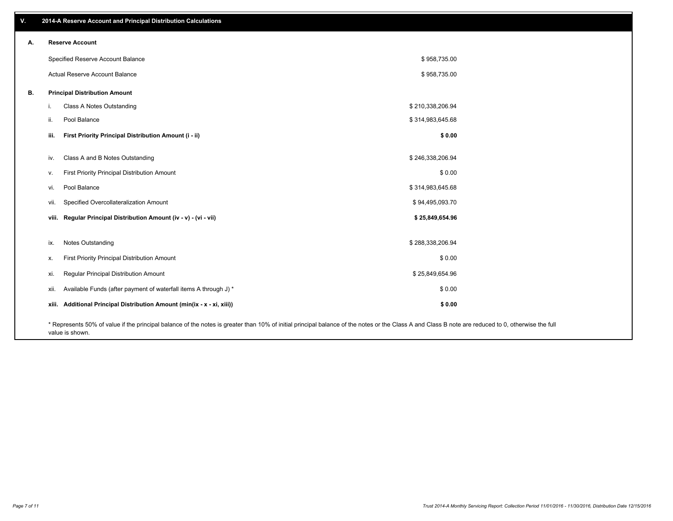| v. |                        | 2014-A Reserve Account and Principal Distribution Calculations                                                                                                                                     |                  |  |
|----|------------------------|----------------------------------------------------------------------------------------------------------------------------------------------------------------------------------------------------|------------------|--|
| А. | <b>Reserve Account</b> |                                                                                                                                                                                                    |                  |  |
|    |                        | Specified Reserve Account Balance                                                                                                                                                                  | \$958,735.00     |  |
|    |                        | Actual Reserve Account Balance                                                                                                                                                                     | \$958,735.00     |  |
| В. |                        | <b>Principal Distribution Amount</b>                                                                                                                                                               |                  |  |
|    | i.                     | Class A Notes Outstanding                                                                                                                                                                          | \$210,338,206.94 |  |
|    | ii.                    | Pool Balance                                                                                                                                                                                       | \$314,983,645.68 |  |
|    | iii.                   | First Priority Principal Distribution Amount (i - ii)                                                                                                                                              | \$0.00           |  |
|    | iv.                    | Class A and B Notes Outstanding                                                                                                                                                                    | \$246,338,206.94 |  |
|    | v.                     | First Priority Principal Distribution Amount                                                                                                                                                       | \$0.00           |  |
|    | vi.                    | Pool Balance                                                                                                                                                                                       | \$314,983,645.68 |  |
|    | vii.                   | Specified Overcollateralization Amount                                                                                                                                                             | \$94,495,093.70  |  |
|    |                        | viii. Regular Principal Distribution Amount (iv - v) - (vi - vii)                                                                                                                                  | \$25,849,654.96  |  |
|    | ix.                    | Notes Outstanding                                                                                                                                                                                  | \$288,338,206.94 |  |
|    | Х.                     | First Priority Principal Distribution Amount                                                                                                                                                       | \$0.00           |  |
|    | xi.                    | Regular Principal Distribution Amount                                                                                                                                                              | \$25,849,654.96  |  |
|    | xii.                   | Available Funds (after payment of waterfall items A through J) *                                                                                                                                   | \$0.00           |  |
|    |                        | xiii. Additional Principal Distribution Amount (min(ix - x - xi, xiii))                                                                                                                            | \$0.00           |  |
|    |                        | * Represents 50% of value if the principal balance of the notes is greater than 10% of initial principal balance of the notes or the Class A and Class B note are reduced to 0, otherwise the full |                  |  |

value is shown.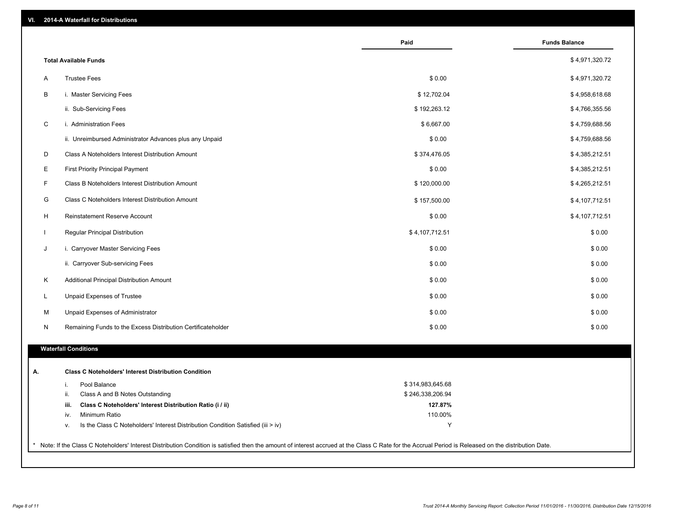| VI. |  | 2014-A Waterfall for Distributions |  |  |  |
|-----|--|------------------------------------|--|--|--|
|-----|--|------------------------------------|--|--|--|

|                                                                                        | Paid             | <b>Funds Balance</b> |
|----------------------------------------------------------------------------------------|------------------|----------------------|
| <b>Total Available Funds</b>                                                           |                  | \$4,971,320.72       |
| <b>Trustee Fees</b><br>Α                                                               | \$0.00           | \$4,971,320.72       |
| В<br>i. Master Servicing Fees                                                          | \$12,702.04      | \$4,958,618.68       |
| ii. Sub-Servicing Fees                                                                 | \$192,263.12     | \$4,766,355.56       |
| C<br>i. Administration Fees                                                            | \$6,667.00       | \$4,759,688.56       |
| ii. Unreimbursed Administrator Advances plus any Unpaid                                | \$0.00           | \$4,759,688.56       |
| D<br>Class A Noteholders Interest Distribution Amount                                  | \$374,476.05     | \$4,385,212.51       |
| Е<br><b>First Priority Principal Payment</b>                                           | \$0.00           | \$4,385,212.51       |
| F<br>Class B Noteholders Interest Distribution Amount                                  | \$120,000.00     | \$4,265,212.51       |
| G<br>Class C Noteholders Interest Distribution Amount                                  | \$157,500.00     | \$4,107,712.51       |
| H<br>Reinstatement Reserve Account                                                     | \$0.00           | \$4,107,712.51       |
| $\mathbf{I}$<br>Regular Principal Distribution                                         | \$4,107,712.51   | \$0.00               |
| J<br>i. Carryover Master Servicing Fees                                                | \$0.00           | \$0.00               |
| ii. Carryover Sub-servicing Fees                                                       | \$0.00           | \$0.00               |
| Κ<br>Additional Principal Distribution Amount                                          | \$0.00           | \$0.00               |
| L<br>Unpaid Expenses of Trustee                                                        | \$0.00           | \$0.00               |
| M<br>Unpaid Expenses of Administrator                                                  | \$0.00           | \$0.00               |
| N<br>Remaining Funds to the Excess Distribution Certificateholder                      | \$0.00           | \$0.00               |
| <b>Waterfall Conditions</b>                                                            |                  |                      |
| <b>Class C Noteholders' Interest Distribution Condition</b>                            |                  |                      |
| Pool Balance<br>i.                                                                     | \$314,983,645.68 |                      |
| ii.<br>Class A and B Notes Outstanding                                                 | \$246,338,206.94 |                      |
| Class C Noteholders' Interest Distribution Ratio (i / ii)<br>iii.                      | 127.87%          |                      |
| Minimum Ratio<br>iv.                                                                   | 110.00%          |                      |
| Is the Class C Noteholders' Interest Distribution Condition Satisfied (iii > iv)<br>٧. | Y                |                      |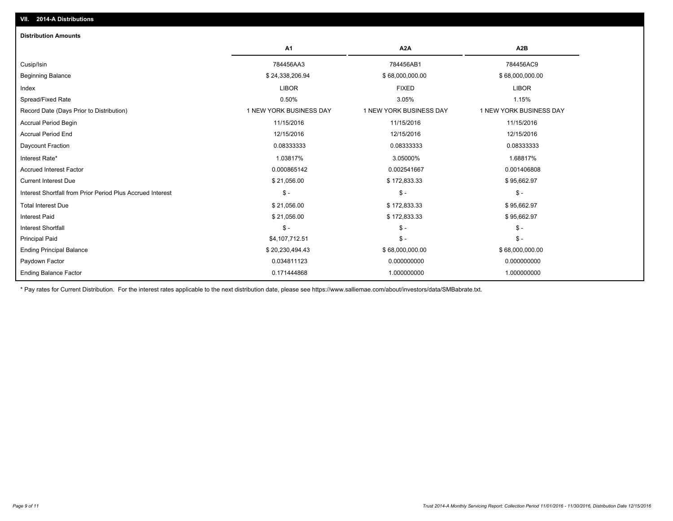| <b>Distribution Amounts</b>                                |                         |                         |                         |
|------------------------------------------------------------|-------------------------|-------------------------|-------------------------|
|                                                            | A1                      | A <sub>2</sub> A        | A <sub>2</sub> B        |
| Cusip/Isin                                                 | 784456AA3               | 784456AB1               | 784456AC9               |
| <b>Beginning Balance</b>                                   | \$24,338,206.94         | \$68,000,000.00         | \$68,000,000.00         |
| Index                                                      | <b>LIBOR</b>            | <b>FIXED</b>            | <b>LIBOR</b>            |
| Spread/Fixed Rate                                          | 0.50%                   | 3.05%                   | 1.15%                   |
| Record Date (Days Prior to Distribution)                   | 1 NEW YORK BUSINESS DAY | 1 NEW YORK BUSINESS DAY | 1 NEW YORK BUSINESS DAY |
| <b>Accrual Period Begin</b>                                | 11/15/2016              | 11/15/2016              | 11/15/2016              |
| <b>Accrual Period End</b>                                  | 12/15/2016              | 12/15/2016              | 12/15/2016              |
| Daycount Fraction                                          | 0.08333333              | 0.08333333              | 0.08333333              |
| Interest Rate*                                             | 1.03817%                | 3.05000%                | 1.68817%                |
| <b>Accrued Interest Factor</b>                             | 0.000865142             | 0.002541667             | 0.001406808             |
| <b>Current Interest Due</b>                                | \$21,056.00             | \$172,833.33            | \$95,662.97             |
| Interest Shortfall from Prior Period Plus Accrued Interest | $\mathsf{\$}$ -         | $\mathsf{\$}$ -         | $\mathcal{S}$ -         |
| <b>Total Interest Due</b>                                  | \$21,056.00             | \$172,833.33            | \$95,662.97             |
| <b>Interest Paid</b>                                       | \$21,056.00             | \$172,833.33            | \$95,662.97             |
| <b>Interest Shortfall</b>                                  | $\mathsf{\$}$ -         | $\mathsf{\$}$ -         | $\mathsf{\$}$ -         |
| <b>Principal Paid</b>                                      | \$4,107,712.51          | $\mathsf{\$}$ -         | $\mathsf{\$}$ -         |
| <b>Ending Principal Balance</b>                            | \$20,230,494.43         | \$68,000,000.00         | \$68,000,000.00         |
| Paydown Factor                                             | 0.034811123             | 0.000000000             | 0.000000000             |
| <b>Ending Balance Factor</b>                               | 0.171444868             | 1.000000000             | 1.000000000             |

\* Pay rates for Current Distribution. For the interest rates applicable to the next distribution date, please see https://www.salliemae.com/about/investors/data/SMBabrate.txt.

**VII. 2014-A Distributions**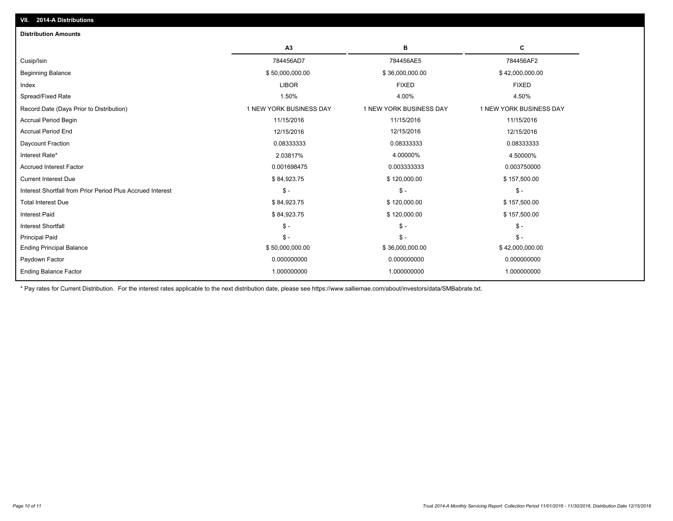| C<br>A <sub>3</sub><br>в<br>784456AD7<br>784456AE5<br>784456AF2<br>\$50,000,000.00<br>\$42,000,000.00<br>\$36,000,000.00<br><b>LIBOR</b><br><b>FIXED</b><br><b>FIXED</b><br>1.50%<br>4.00%<br>4.50%<br>1 NEW YORK BUSINESS DAY<br>1 NEW YORK BUSINESS DAY<br>1 NEW YORK BUSINESS DAY<br>11/15/2016<br>11/15/2016<br>11/15/2016<br>12/15/2016<br>12/15/2016<br>12/15/2016<br>0.08333333<br>0.08333333<br>0.08333333<br>2.03817%<br>4.00000%<br>4.50000%<br>0.001698475<br>0.003333333<br>0.003750000<br>\$84,923.75<br>\$120,000.00<br>\$157,500.00<br>$$ -$<br>$\mathsf{\$}$ -<br>$\mathbb{S}$ -<br>\$84,923.75<br>\$120,000.00<br>\$157,500.00<br>\$84,923.75<br>\$120,000.00<br>\$157,500.00<br>$S -$<br>$\mathbb{S}$ -<br>$\mathbb{S}$ -<br>$\mathsf{\$}$ -<br>$\mathsf{\$}$ -<br>$\mathbb{S}$ -<br>\$50,000,000.00<br>\$36,000,000.00<br>\$42,000,000.00<br>0.000000000<br>0.000000000<br>0.000000000 | <b>Distribution Amounts</b>                                |  |  |
|-----------------------------------------------------------------------------------------------------------------------------------------------------------------------------------------------------------------------------------------------------------------------------------------------------------------------------------------------------------------------------------------------------------------------------------------------------------------------------------------------------------------------------------------------------------------------------------------------------------------------------------------------------------------------------------------------------------------------------------------------------------------------------------------------------------------------------------------------------------------------------------------------------------|------------------------------------------------------------|--|--|
|                                                                                                                                                                                                                                                                                                                                                                                                                                                                                                                                                                                                                                                                                                                                                                                                                                                                                                           |                                                            |  |  |
|                                                                                                                                                                                                                                                                                                                                                                                                                                                                                                                                                                                                                                                                                                                                                                                                                                                                                                           | Cusip/Isin                                                 |  |  |
|                                                                                                                                                                                                                                                                                                                                                                                                                                                                                                                                                                                                                                                                                                                                                                                                                                                                                                           | <b>Beginning Balance</b>                                   |  |  |
|                                                                                                                                                                                                                                                                                                                                                                                                                                                                                                                                                                                                                                                                                                                                                                                                                                                                                                           | Index                                                      |  |  |
|                                                                                                                                                                                                                                                                                                                                                                                                                                                                                                                                                                                                                                                                                                                                                                                                                                                                                                           | Spread/Fixed Rate                                          |  |  |
|                                                                                                                                                                                                                                                                                                                                                                                                                                                                                                                                                                                                                                                                                                                                                                                                                                                                                                           | Record Date (Days Prior to Distribution)                   |  |  |
|                                                                                                                                                                                                                                                                                                                                                                                                                                                                                                                                                                                                                                                                                                                                                                                                                                                                                                           | <b>Accrual Period Begin</b>                                |  |  |
|                                                                                                                                                                                                                                                                                                                                                                                                                                                                                                                                                                                                                                                                                                                                                                                                                                                                                                           | <b>Accrual Period End</b>                                  |  |  |
|                                                                                                                                                                                                                                                                                                                                                                                                                                                                                                                                                                                                                                                                                                                                                                                                                                                                                                           | Daycount Fraction                                          |  |  |
|                                                                                                                                                                                                                                                                                                                                                                                                                                                                                                                                                                                                                                                                                                                                                                                                                                                                                                           | Interest Rate*                                             |  |  |
|                                                                                                                                                                                                                                                                                                                                                                                                                                                                                                                                                                                                                                                                                                                                                                                                                                                                                                           | <b>Accrued Interest Factor</b>                             |  |  |
|                                                                                                                                                                                                                                                                                                                                                                                                                                                                                                                                                                                                                                                                                                                                                                                                                                                                                                           | <b>Current Interest Due</b>                                |  |  |
|                                                                                                                                                                                                                                                                                                                                                                                                                                                                                                                                                                                                                                                                                                                                                                                                                                                                                                           | Interest Shortfall from Prior Period Plus Accrued Interest |  |  |
|                                                                                                                                                                                                                                                                                                                                                                                                                                                                                                                                                                                                                                                                                                                                                                                                                                                                                                           | <b>Total Interest Due</b>                                  |  |  |
|                                                                                                                                                                                                                                                                                                                                                                                                                                                                                                                                                                                                                                                                                                                                                                                                                                                                                                           | <b>Interest Paid</b>                                       |  |  |
|                                                                                                                                                                                                                                                                                                                                                                                                                                                                                                                                                                                                                                                                                                                                                                                                                                                                                                           | <b>Interest Shortfall</b>                                  |  |  |
|                                                                                                                                                                                                                                                                                                                                                                                                                                                                                                                                                                                                                                                                                                                                                                                                                                                                                                           | <b>Principal Paid</b>                                      |  |  |
|                                                                                                                                                                                                                                                                                                                                                                                                                                                                                                                                                                                                                                                                                                                                                                                                                                                                                                           | <b>Ending Principal Balance</b>                            |  |  |
|                                                                                                                                                                                                                                                                                                                                                                                                                                                                                                                                                                                                                                                                                                                                                                                                                                                                                                           | Paydown Factor                                             |  |  |
| 1.000000000<br>1.000000000<br>1.000000000                                                                                                                                                                                                                                                                                                                                                                                                                                                                                                                                                                                                                                                                                                                                                                                                                                                                 | <b>Ending Balance Factor</b>                               |  |  |

\* Pay rates for Current Distribution. For the interest rates applicable to the next distribution date, please see https://www.salliemae.com/about/investors/data/SMBabrate.txt.

**VII. 2014-A Distributions**